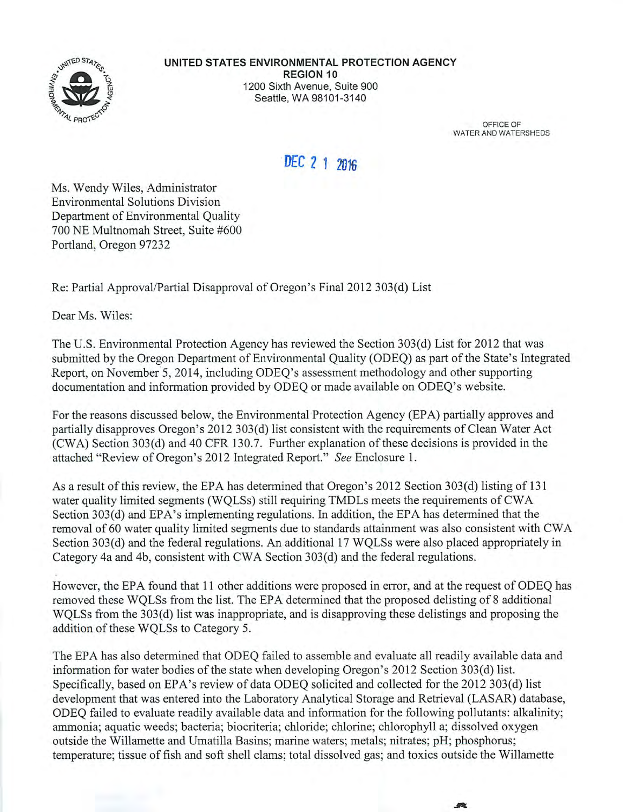

OFFICE OF WATER AND WATERSHEDS

# DEC 2 1 2016

Ms. Wendy Wiles, Administrator **Environmental Solutions Division** Department of Environmental Quality 700 NE Multnomah Street, Suite #600 Portland, Oregon 97232

Re: Partial Approval/Partial Disapproval of Oregon's Final 2012 303(d) List

Dear Ms. Wiles:

The U.S. Environmental Protection Agency has reviewed the Section 303(d) List for 2012 that was submitted by the Oregon Department of Environmental Quality (ODEQ) as part of the State's Integrated Report, on November 5, 2014, including ODEO's assessment methodology and other supporting documentation and information provided by ODEQ or made available on ODEQ's website.

For the reasons discussed below, the Environmental Protection Agency (EPA) partially approves and partially disapproves Oregon's 2012 303(d) list consistent with the requirements of Clean Water Act (CWA) Section 303(d) and 40 CFR 130.7. Further explanation of these decisions is provided in the attached "Review of Oregon's 2012 Integrated Report." See Enclosure 1.

As a result of this review, the EPA has determined that Oregon's 2012 Section 303(d) listing of 131 water quality limited segments (WQLSs) still requiring TMDLs meets the requirements of CWA Section 303(d) and EPA's implementing regulations. In addition, the EPA has determined that the removal of 60 water quality limited segments due to standards attainment was also consistent with CWA Section 303(d) and the federal regulations. An additional 17 WQLSs were also placed appropriately in Category 4a and 4b, consistent with CWA Section 303(d) and the federal regulations.

However, the EPA found that 11 other additions were proposed in error, and at the request of ODEQ has removed these WQLSs from the list. The EPA determined that the proposed delisting of 8 additional WOLSs from the 303(d) list was inappropriate, and is disapproving these delistings and proposing the addition of these WQLSs to Category 5.

The EPA has also determined that ODEO failed to assemble and evaluate all readily available data and information for water bodies of the state when developing Oregon's 2012 Section 303(d) list. Specifically, based on EPA's review of data ODEO solicited and collected for the 2012 303(d) list development that was entered into the Laboratory Analytical Storage and Retrieval (LASAR) database, ODEQ failed to evaluate readily available data and information for the following pollutants: alkalinity; ammonia; aquatic weeds; bacteria; biocriteria; chloride; chlorine; chlorophyll a; dissolved oxygen outside the Willamette and Umatilla Basins; marine waters; metals; nitrates; pH; phosphorus; temperature; tissue of fish and soft shell clams; total dissolved gas; and toxics outside the Willamette

微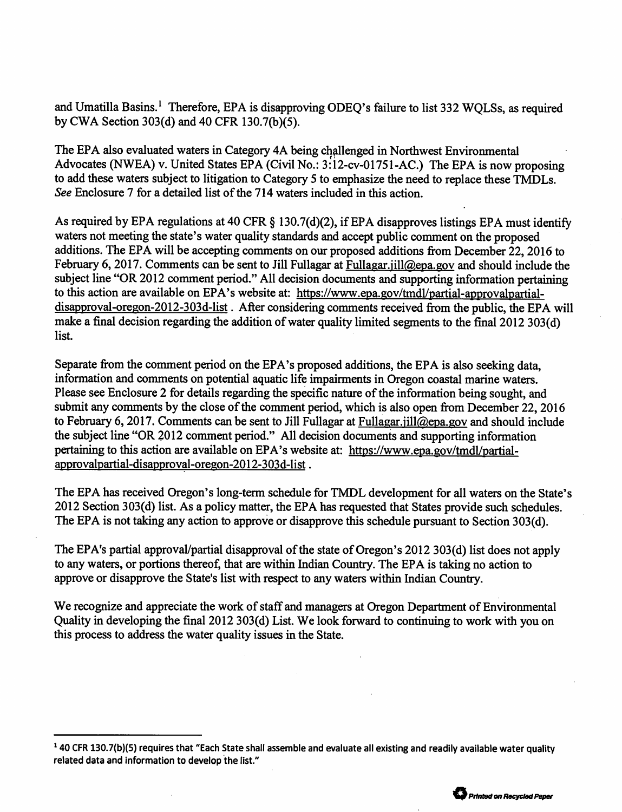and Umatilla Basins.<sup>1</sup> Therefore, EPA is disapproving ODEO's failure to list 332 WOLSs, as required by CWA Section 303(d) and 40 CFR 130.7(b)(5).

The EPA also evaluated waters in Category 4A being challenged in Northwest Environmental Advocates (NWEA) v. United States EPA (Civil No.: 3:12-cv-01751-AC.) The EPA is now proposing to add these waters subject to litigation to Category 5 to emphasize the need to replace these TMDLs. See Enclosure 7 for a detailed list of the 714 waters included in this action.

As required by EPA regulations at 40 CFR § 130.7(d)(2), if EPA disapproves listings EPA must identify waters not meeting the state's water quality standards and accept public comment on the proposed additions. The EPA will be accepting comments on our proposed additions from December 22, 2016 to February 6, 2017. Comments can be sent to Jill Fullagar at Fullagar.jill@epa.gov and should include the subject line "OR 2012 comment period." All decision documents and supporting information pertaining to this action are available on EPA's website at: https://www.epa.gov/tmdl/partial-approvalpartialdisapproval-oregon-2012-303d-list. After considering comments received from the public, the EPA will make a final decision regarding the addition of water quality limited segments to the final 2012 303(d) list.

Separate from the comment period on the EPA's proposed additions, the EPA is also seeking data. information and comments on potential aquatic life impairments in Oregon coastal marine waters. Please see Enclosure 2 for details regarding the specific nature of the information being sought, and submit any comments by the close of the comment period, which is also open from December 22, 2016 to February 6, 2017. Comments can be sent to Jill Fullagar at Fullagar.jill@epa.gov and should include the subject line "OR 2012 comment period." All decision documents and supporting information pertaining to this action are available on EPA's website at: https://www.epa.gov/tmdl/partialapprovalpartial-disapproval-oregon-2012-303d-list.

The EPA has received Oregon's long-term schedule for TMDL development for all waters on the State's 2012 Section 303(d) list. As a policy matter, the EPA has requested that States provide such schedules. The EPA is not taking any action to approve or disapprove this schedule pursuant to Section 303(d).

The EPA's partial approval/partial disapproval of the state of Oregon's 2012 303(d) list does not apply to any waters, or portions thereof, that are within Indian Country. The EPA is taking no action to approve or disapprove the State's list with respect to any waters within Indian Country.

We recognize and appreciate the work of staff and managers at Oregon Department of Environmental Quality in developing the final 2012 303(d) List. We look forward to continuing to work with you on this process to address the water quality issues in the State.

<sup>&</sup>lt;sup>1</sup> 40 CFR 130.7(b)(5) requires that "Each State shall assemble and evaluate all existing and readily available water quality related data and information to develop the list."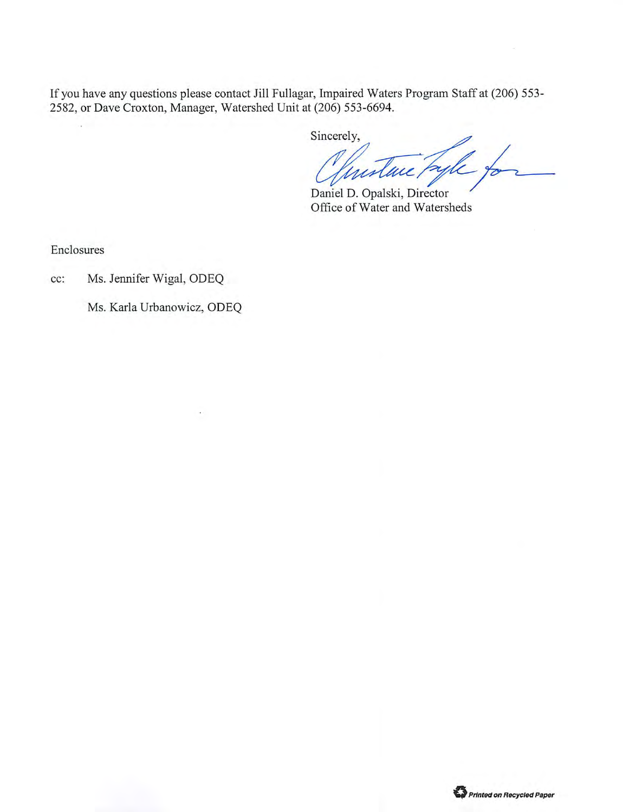If you have any questions please contact Jill Fullagar, Impaired Waters Program Staff at (206) 553-2582, or Dave Croxton, Manager, Watershed Unit at (206) 553-6694.

Sincerely,

Instance Pagle to

Daniel D. Opalski, Director Office of Water and Watersheds

Enclosures

Ms. Jennifer Wigal, ODEQ cc:

Ms. Karla Urbanowicz, ODEQ

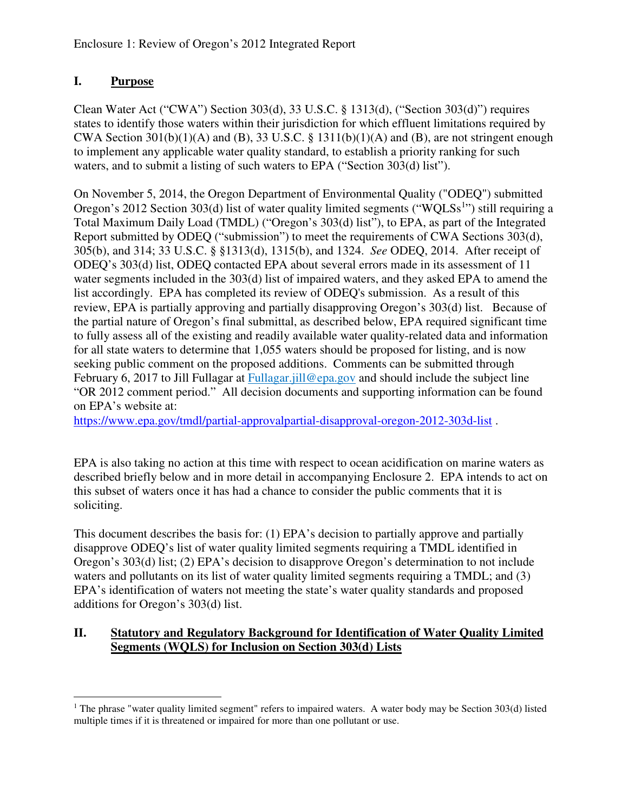# **I. Purpose**

Clean Water Act ("CWA") Section 303(d), 33 U.S.C. § 1313(d), ("Section 303(d)") requires states to identify those waters within their jurisdiction for which effluent limitations required by CWA Section 301(b)(1)(A) and (B), 33 U.S.C.  $\S$  1311(b)(1)(A) and (B), are not stringent enough to implement any applicable water quality standard, to establish a priority ranking for such waters, and to submit a listing of such waters to EPA ("Section 303(d) list").

On November 5, 2014, the Oregon Department of Environmental Quality ("ODEQ") submitted Oregon's 2012 Section 303(d) list of water quality limited segments ("WQLSs<sup>1</sup>") still requiring a Total Maximum Daily Load (TMDL) ("Oregon's 303(d) list"), to EPA, as part of the Integrated Report submitted by ODEQ ("submission") to meet the requirements of CWA Sections 303(d), 305(b), and 314; 33 U.S.C. § §1313(d), 1315(b), and 1324. *See* ODEQ, 2014. After receipt of ODEQ's 303(d) list, ODEQ contacted EPA about several errors made in its assessment of 11 water segments included in the 303(d) list of impaired waters, and they asked EPA to amend the list accordingly. EPA has completed its review of ODEQ's submission. As a result of this review, EPA is partially approving and partially disapproving Oregon's 303(d) list. Because of the partial nature of Oregon's final submittal, as described below, EPA required significant time to fully assess all of the existing and readily available water quality-related data and information for all state waters to determine that 1,055 waters should be proposed for listing, and is now seeking public comment on the proposed additions. Comments can be submitted through February 6, 2017 to Jill Fullagar at Fullagar.jill@epa.gov and should include the subject line "OR 2012 comment period." All decision documents and supporting information can be found on EPA's website at:

https://www.epa.gov/tmdl/partial-approvalpartial-disapproval-oregon-2012-303d-list .

EPA is also taking no action at this time with respect to ocean acidification on marine waters as described briefly below and in more detail in accompanying Enclosure 2. EPA intends to act on this subset of waters once it has had a chance to consider the public comments that it is soliciting.

This document describes the basis for: (1) EPA's decision to partially approve and partially disapprove ODEQ's list of water quality limited segments requiring a TMDL identified in Oregon's 303(d) list; (2) EPA's decision to disapprove Oregon's determination to not include waters and pollutants on its list of water quality limited segments requiring a TMDL; and (3) EPA's identification of waters not meeting the state's water quality standards and proposed additions for Oregon's 303(d) list.

#### **II. Statutory and Regulatory Background for Identification of Water Quality Limited Segments (WQLS) for Inclusion on Section 303(d) Lists**

 $\overline{a}$ <sup>1</sup> The phrase "water quality limited segment" refers to impaired waters. A water body may be Section 303(d) listed multiple times if it is threatened or impaired for more than one pollutant or use.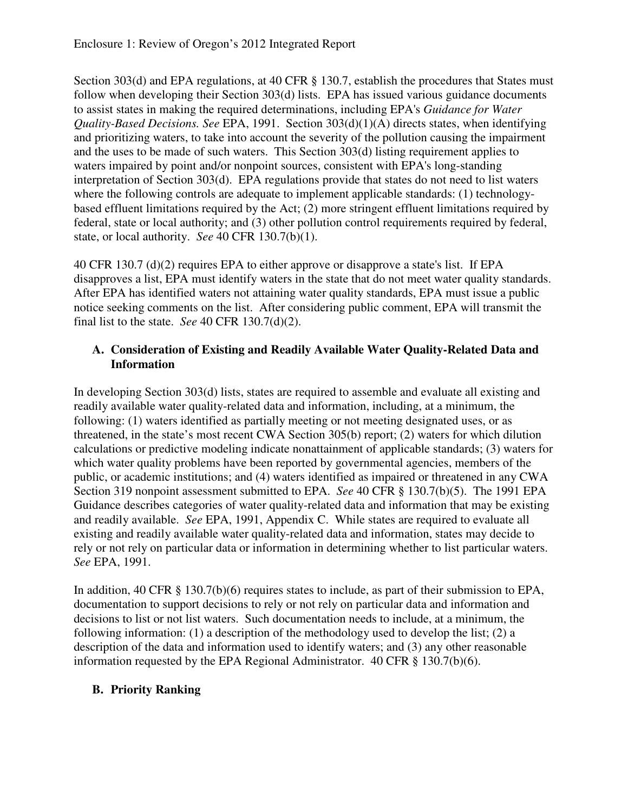Section 303(d) and EPA regulations, at 40 CFR § 130.7, establish the procedures that States must follow when developing their Section 303(d) lists. EPA has issued various guidance documents to assist states in making the required determinations, including EPA's *Guidance for Water Quality-Based Decisions. See* EPA, 1991. Section 303(d)(1)(A) directs states, when identifying and prioritizing waters, to take into account the severity of the pollution causing the impairment and the uses to be made of such waters. This Section 303(d) listing requirement applies to waters impaired by point and/or nonpoint sources, consistent with EPA's long-standing interpretation of Section 303(d). EPA regulations provide that states do not need to list waters where the following controls are adequate to implement applicable standards: (1) technologybased effluent limitations required by the Act; (2) more stringent effluent limitations required by federal, state or local authority; and (3) other pollution control requirements required by federal, state, or local authority. *See* 40 CFR 130.7(b)(1).

40 CFR 130.7 (d)(2) requires EPA to either approve or disapprove a state's list. If EPA disapproves a list, EPA must identify waters in the state that do not meet water quality standards. After EPA has identified waters not attaining water quality standards, EPA must issue a public notice seeking comments on the list. After considering public comment, EPA will transmit the final list to the state. *See* 40 CFR 130.7(d)(2).

#### **A. Consideration of Existing and Readily Available Water Quality-Related Data and Information**

In developing Section 303(d) lists, states are required to assemble and evaluate all existing and readily available water quality-related data and information, including, at a minimum, the following: (1) waters identified as partially meeting or not meeting designated uses, or as threatened, in the state's most recent CWA Section 305(b) report; (2) waters for which dilution calculations or predictive modeling indicate nonattainment of applicable standards; (3) waters for which water quality problems have been reported by governmental agencies, members of the public, or academic institutions; and (4) waters identified as impaired or threatened in any CWA Section 319 nonpoint assessment submitted to EPA. *See* 40 CFR § 130.7(b)(5). The 1991 EPA Guidance describes categories of water quality-related data and information that may be existing and readily available. *See* EPA, 1991, Appendix C. While states are required to evaluate all existing and readily available water quality-related data and information, states may decide to rely or not rely on particular data or information in determining whether to list particular waters. *See* EPA, 1991.

In addition, 40 CFR § 130.7(b)(6) requires states to include, as part of their submission to EPA, documentation to support decisions to rely or not rely on particular data and information and decisions to list or not list waters. Such documentation needs to include, at a minimum, the following information: (1) a description of the methodology used to develop the list; (2) a description of the data and information used to identify waters; and (3) any other reasonable information requested by the EPA Regional Administrator. 40 CFR § 130.7(b)(6).

### **B. Priority Ranking**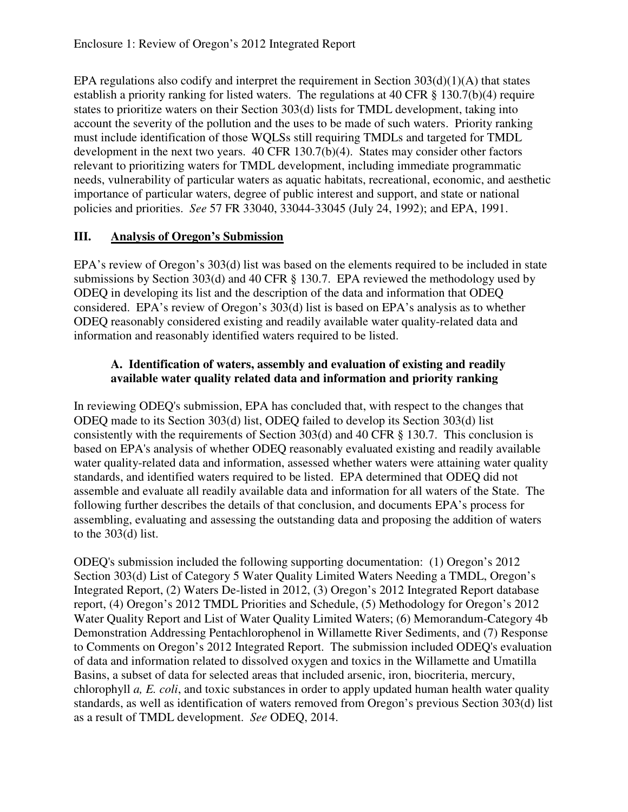EPA regulations also codify and interpret the requirement in Section  $303(d)(1)(A)$  that states establish a priority ranking for listed waters. The regulations at 40 CFR § 130.7(b)(4) require states to prioritize waters on their Section 303(d) lists for TMDL development, taking into account the severity of the pollution and the uses to be made of such waters. Priority ranking must include identification of those WQLSs still requiring TMDLs and targeted for TMDL development in the next two years. 40 CFR 130.7(b)(4). States may consider other factors relevant to prioritizing waters for TMDL development, including immediate programmatic needs, vulnerability of particular waters as aquatic habitats, recreational, economic, and aesthetic importance of particular waters, degree of public interest and support, and state or national policies and priorities. *See* 57 FR 33040, 33044-33045 (July 24, 1992); and EPA, 1991.

# **III. Analysis of Oregon's Submission**

EPA's review of Oregon's 303(d) list was based on the elements required to be included in state submissions by Section 303(d) and 40 CFR § 130.7. EPA reviewed the methodology used by ODEQ in developing its list and the description of the data and information that ODEQ considered. EPA's review of Oregon's 303(d) list is based on EPA's analysis as to whether ODEQ reasonably considered existing and readily available water quality-related data and information and reasonably identified waters required to be listed.

#### **A. Identification of waters, assembly and evaluation of existing and readily available water quality related data and information and priority ranking**

In reviewing ODEQ's submission, EPA has concluded that, with respect to the changes that ODEQ made to its Section 303(d) list, ODEQ failed to develop its Section 303(d) list consistently with the requirements of Section 303(d) and 40 CFR § 130.7. This conclusion is based on EPA's analysis of whether ODEQ reasonably evaluated existing and readily available water quality-related data and information, assessed whether waters were attaining water quality standards, and identified waters required to be listed. EPA determined that ODEQ did not assemble and evaluate all readily available data and information for all waters of the State. The following further describes the details of that conclusion, and documents EPA's process for assembling, evaluating and assessing the outstanding data and proposing the addition of waters to the 303(d) list.

ODEQ's submission included the following supporting documentation: (1) Oregon's 2012 Section 303(d) List of Category 5 Water Quality Limited Waters Needing a TMDL, Oregon's Integrated Report, (2) Waters De-listed in 2012, (3) Oregon's 2012 Integrated Report database report, (4) Oregon's 2012 TMDL Priorities and Schedule, (5) Methodology for Oregon's 2012 Water Quality Report and List of Water Quality Limited Waters; (6) Memorandum-Category 4b Demonstration Addressing Pentachlorophenol in Willamette River Sediments, and (7) Response to Comments on Oregon's 2012 Integrated Report. The submission included ODEQ's evaluation of data and information related to dissolved oxygen and toxics in the Willamette and Umatilla Basins, a subset of data for selected areas that included arsenic, iron, biocriteria, mercury, chlorophyll *a, E. coli*, and toxic substances in order to apply updated human health water quality standards, as well as identification of waters removed from Oregon's previous Section 303(d) list as a result of TMDL development. *See* ODEQ, 2014.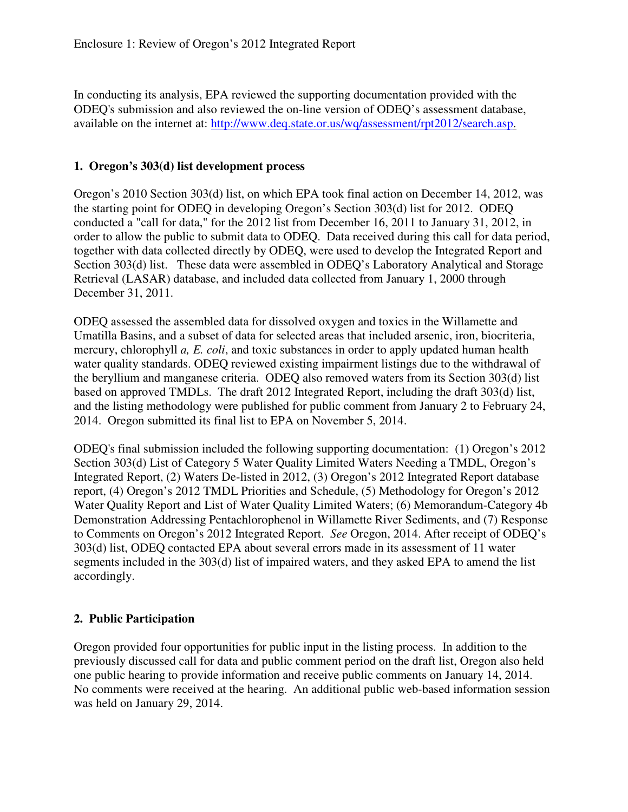In conducting its analysis, EPA reviewed the supporting documentation provided with the ODEQ's submission and also reviewed the on-line version of ODEQ's assessment database, available on the internet at: http://www.deq.state.or.us/wq/assessment/rpt2012/search.asp.

#### **1. Oregon's 303(d) list development process**

Oregon's 2010 Section 303(d) list, on which EPA took final action on December 14, 2012, was the starting point for ODEQ in developing Oregon's Section 303(d) list for 2012. ODEQ conducted a "call for data," for the 2012 list from December 16, 2011 to January 31, 2012, in order to allow the public to submit data to ODEQ. Data received during this call for data period, together with data collected directly by ODEQ, were used to develop the Integrated Report and Section 303(d) list. These data were assembled in ODEQ's Laboratory Analytical and Storage Retrieval (LASAR) database, and included data collected from January 1, 2000 through December 31, 2011.

ODEQ assessed the assembled data for dissolved oxygen and toxics in the Willamette and Umatilla Basins, and a subset of data for selected areas that included arsenic, iron, biocriteria, mercury, chlorophyll *a, E. coli*, and toxic substances in order to apply updated human health water quality standards. ODEQ reviewed existing impairment listings due to the withdrawal of the beryllium and manganese criteria. ODEQ also removed waters from its Section 303(d) list based on approved TMDLs. The draft 2012 Integrated Report, including the draft 303(d) list, and the listing methodology were published for public comment from January 2 to February 24, 2014. Oregon submitted its final list to EPA on November 5, 2014.

ODEQ's final submission included the following supporting documentation: (1) Oregon's 2012 Section 303(d) List of Category 5 Water Quality Limited Waters Needing a TMDL, Oregon's Integrated Report, (2) Waters De-listed in 2012, (3) Oregon's 2012 Integrated Report database report, (4) Oregon's 2012 TMDL Priorities and Schedule, (5) Methodology for Oregon's 2012 Water Quality Report and List of Water Quality Limited Waters; (6) Memorandum-Category 4b Demonstration Addressing Pentachlorophenol in Willamette River Sediments, and (7) Response to Comments on Oregon's 2012 Integrated Report. *See* Oregon, 2014. After receipt of ODEQ's 303(d) list, ODEQ contacted EPA about several errors made in its assessment of 11 water segments included in the 303(d) list of impaired waters, and they asked EPA to amend the list accordingly.

#### **2. Public Participation**

Oregon provided four opportunities for public input in the listing process. In addition to the previously discussed call for data and public comment period on the draft list, Oregon also held one public hearing to provide information and receive public comments on January 14, 2014. No comments were received at the hearing. An additional public web-based information session was held on January 29, 2014.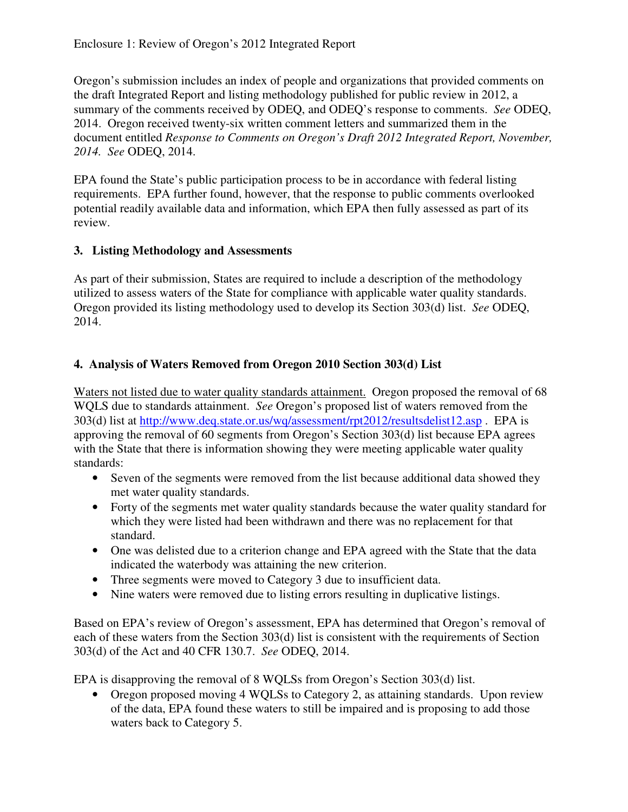Oregon's submission includes an index of people and organizations that provided comments on the draft Integrated Report and listing methodology published for public review in 2012, a summary of the comments received by ODEQ, and ODEQ's response to comments. *See* ODEQ, 2014. Oregon received twenty-six written comment letters and summarized them in the document entitled *Response to Comments on Oregon's Draft 2012 Integrated Report, November, 2014. See* ODEQ, 2014.

EPA found the State's public participation process to be in accordance with federal listing requirements. EPA further found, however, that the response to public comments overlooked potential readily available data and information, which EPA then fully assessed as part of its review.

### **3. Listing Methodology and Assessments**

As part of their submission, States are required to include a description of the methodology utilized to assess waters of the State for compliance with applicable water quality standards. Oregon provided its listing methodology used to develop its Section 303(d) list. *See* ODEQ, 2014.

# **4. Analysis of Waters Removed from Oregon 2010 Section 303(d) List**

Waters not listed due to water quality standards attainment. Oregon proposed the removal of 68 WQLS due to standards attainment. *See* Oregon's proposed list of waters removed from the 303(d) list at http://www.deq.state.or.us/wq/assessment/rpt2012/resultsdelist12.asp . EPA is approving the removal of 60 segments from Oregon's Section 303(d) list because EPA agrees with the State that there is information showing they were meeting applicable water quality standards:

- Seven of the segments were removed from the list because additional data showed they met water quality standards.
- Forty of the segments met water quality standards because the water quality standard for which they were listed had been withdrawn and there was no replacement for that standard.
- One was delisted due to a criterion change and EPA agreed with the State that the data indicated the waterbody was attaining the new criterion.
- Three segments were moved to Category 3 due to insufficient data.
- Nine waters were removed due to listing errors resulting in duplicative listings.

Based on EPA's review of Oregon's assessment, EPA has determined that Oregon's removal of each of these waters from the Section 303(d) list is consistent with the requirements of Section 303(d) of the Act and 40 CFR 130.7. *See* ODEQ, 2014.

EPA is disapproving the removal of 8 WQLSs from Oregon's Section 303(d) list.

• Oregon proposed moving 4 WOLSs to Category 2, as attaining standards. Upon review of the data, EPA found these waters to still be impaired and is proposing to add those waters back to Category 5.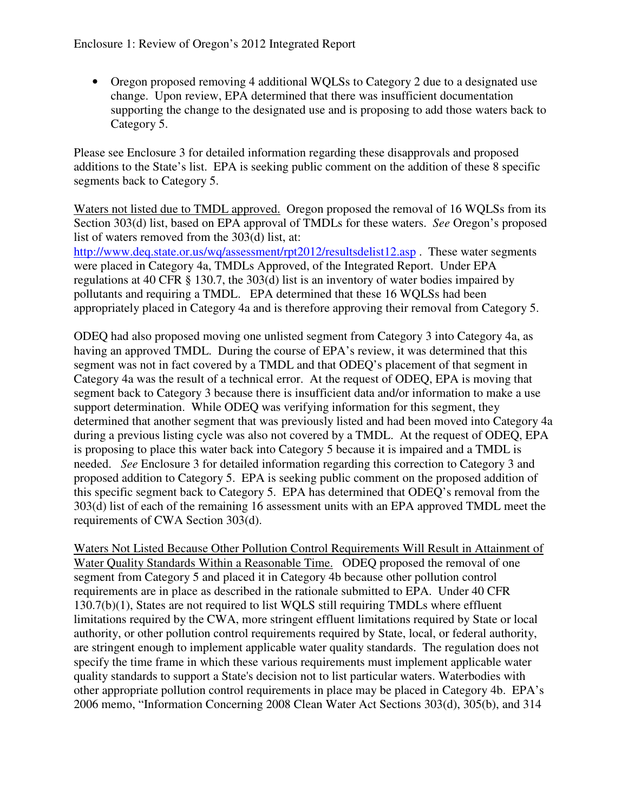• Oregon proposed removing 4 additional WQLSs to Category 2 due to a designated use change. Upon review, EPA determined that there was insufficient documentation supporting the change to the designated use and is proposing to add those waters back to Category 5.

Please see Enclosure 3 for detailed information regarding these disapprovals and proposed additions to the State's list. EPA is seeking public comment on the addition of these 8 specific segments back to Category 5.

Waters not listed due to TMDL approved. Oregon proposed the removal of 16 WQLSs from its Section 303(d) list, based on EPA approval of TMDLs for these waters. *See* Oregon's proposed list of waters removed from the 303(d) list, at: http://www.deq.state.or.us/wq/assessment/rpt2012/resultsdelist12.asp . These water segments were placed in Category 4a, TMDLs Approved, of the Integrated Report. Under EPA regulations at 40 CFR § 130.7, the 303(d) list is an inventory of water bodies impaired by pollutants and requiring a TMDL. EPA determined that these 16 WQLSs had been appropriately placed in Category 4a and is therefore approving their removal from Category 5.

ODEQ had also proposed moving one unlisted segment from Category 3 into Category 4a, as having an approved TMDL. During the course of EPA's review, it was determined that this segment was not in fact covered by a TMDL and that ODEQ's placement of that segment in Category 4a was the result of a technical error. At the request of ODEQ, EPA is moving that segment back to Category 3 because there is insufficient data and/or information to make a use support determination. While ODEQ was verifying information for this segment, they determined that another segment that was previously listed and had been moved into Category 4a during a previous listing cycle was also not covered by a TMDL. At the request of ODEQ, EPA is proposing to place this water back into Category 5 because it is impaired and a TMDL is needed. *See* Enclosure 3 for detailed information regarding this correction to Category 3 and proposed addition to Category 5. EPA is seeking public comment on the proposed addition of this specific segment back to Category 5. EPA has determined that ODEQ's removal from the 303(d) list of each of the remaining 16 assessment units with an EPA approved TMDL meet the requirements of CWA Section 303(d).

Waters Not Listed Because Other Pollution Control Requirements Will Result in Attainment of Water Quality Standards Within a Reasonable Time. ODEQ proposed the removal of one segment from Category 5 and placed it in Category 4b because other pollution control requirements are in place as described in the rationale submitted to EPA. Under 40 CFR 130.7(b)(1), States are not required to list WQLS still requiring TMDLs where effluent limitations required by the CWA, more stringent effluent limitations required by State or local authority, or other pollution control requirements required by State, local, or federal authority, are stringent enough to implement applicable water quality standards. The regulation does not specify the time frame in which these various requirements must implement applicable water quality standards to support a State's decision not to list particular waters. Waterbodies with other appropriate pollution control requirements in place may be placed in Category 4b. EPA's 2006 memo, "Information Concerning 2008 Clean Water Act Sections 303(d), 305(b), and 314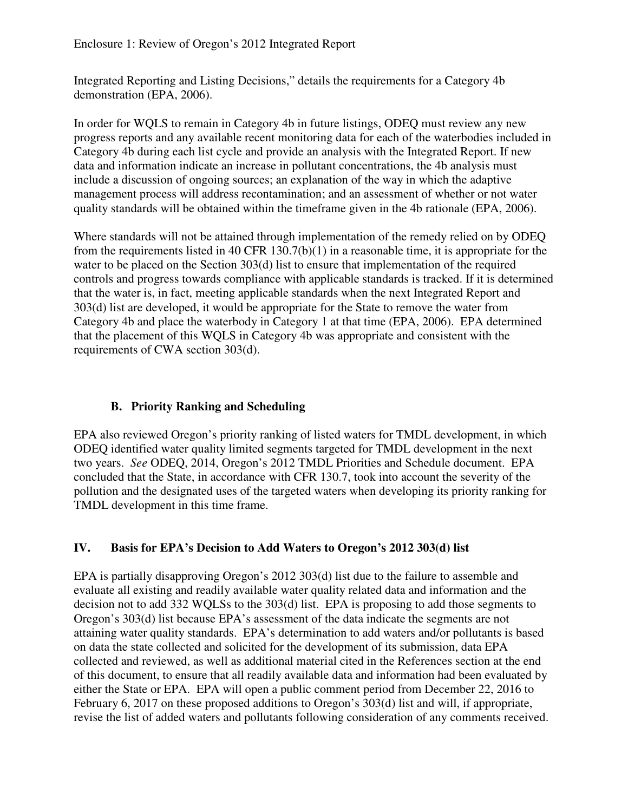Integrated Reporting and Listing Decisions," details the requirements for a Category 4b demonstration (EPA, 2006).

In order for WQLS to remain in Category 4b in future listings, ODEQ must review any new progress reports and any available recent monitoring data for each of the waterbodies included in Category 4b during each list cycle and provide an analysis with the Integrated Report. If new data and information indicate an increase in pollutant concentrations, the 4b analysis must include a discussion of ongoing sources; an explanation of the way in which the adaptive management process will address recontamination; and an assessment of whether or not water quality standards will be obtained within the timeframe given in the 4b rationale (EPA, 2006).

Where standards will not be attained through implementation of the remedy relied on by ODEQ from the requirements listed in 40 CFR 130.7(b)(1) in a reasonable time, it is appropriate for the water to be placed on the Section 303(d) list to ensure that implementation of the required controls and progress towards compliance with applicable standards is tracked. If it is determined that the water is, in fact, meeting applicable standards when the next Integrated Report and 303(d) list are developed, it would be appropriate for the State to remove the water from Category 4b and place the waterbody in Category 1 at that time (EPA, 2006). EPA determined that the placement of this WQLS in Category 4b was appropriate and consistent with the requirements of CWA section 303(d).

### **B. Priority Ranking and Scheduling**

EPA also reviewed Oregon's priority ranking of listed waters for TMDL development, in which ODEQ identified water quality limited segments targeted for TMDL development in the next two years. *See* ODEQ, 2014, Oregon's 2012 TMDL Priorities and Schedule document. EPA concluded that the State, in accordance with CFR 130.7, took into account the severity of the pollution and the designated uses of the targeted waters when developing its priority ranking for TMDL development in this time frame.

### **IV. Basis for EPA's Decision to Add Waters to Oregon's 2012 303(d) list**

EPA is partially disapproving Oregon's 2012 303(d) list due to the failure to assemble and evaluate all existing and readily available water quality related data and information and the decision not to add 332 WQLSs to the 303(d) list. EPA is proposing to add those segments to Oregon's 303(d) list because EPA's assessment of the data indicate the segments are not attaining water quality standards. EPA's determination to add waters and/or pollutants is based on data the state collected and solicited for the development of its submission, data EPA collected and reviewed, as well as additional material cited in the References section at the end of this document, to ensure that all readily available data and information had been evaluated by either the State or EPA. EPA will open a public comment period from December 22, 2016 to February 6, 2017 on these proposed additions to Oregon's 303(d) list and will, if appropriate, revise the list of added waters and pollutants following consideration of any comments received.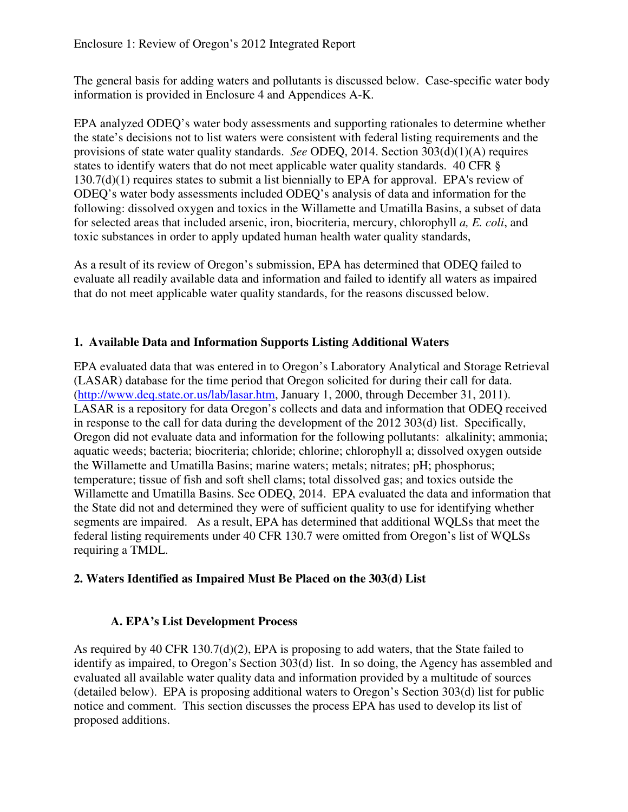The general basis for adding waters and pollutants is discussed below. Case-specific water body information is provided in Enclosure 4 and Appendices A-K.

EPA analyzed ODEQ's water body assessments and supporting rationales to determine whether the state's decisions not to list waters were consistent with federal listing requirements and the provisions of state water quality standards. *See* ODEQ, 2014. Section 303(d)(1)(A) requires states to identify waters that do not meet applicable water quality standards. 40 CFR § 130.7(d)(1) requires states to submit a list biennially to EPA for approval. EPA's review of ODEQ's water body assessments included ODEQ's analysis of data and information for the following: dissolved oxygen and toxics in the Willamette and Umatilla Basins, a subset of data for selected areas that included arsenic, iron, biocriteria, mercury, chlorophyll *a, E. coli*, and toxic substances in order to apply updated human health water quality standards,

As a result of its review of Oregon's submission, EPA has determined that ODEQ failed to evaluate all readily available data and information and failed to identify all waters as impaired that do not meet applicable water quality standards, for the reasons discussed below.

### **1. Available Data and Information Supports Listing Additional Waters**

EPA evaluated data that was entered in to Oregon's Laboratory Analytical and Storage Retrieval (LASAR) database for the time period that Oregon solicited for during their call for data. (http://www.deq.state.or.us/lab/lasar.htm, January 1, 2000, through December 31, 2011). LASAR is a repository for data Oregon's collects and data and information that ODEQ received in response to the call for data during the development of the 2012 303(d) list. Specifically, Oregon did not evaluate data and information for the following pollutants: alkalinity; ammonia; aquatic weeds; bacteria; biocriteria; chloride; chlorine; chlorophyll a; dissolved oxygen outside the Willamette and Umatilla Basins; marine waters; metals; nitrates; pH; phosphorus; temperature; tissue of fish and soft shell clams; total dissolved gas; and toxics outside the Willamette and Umatilla Basins. See ODEQ, 2014. EPA evaluated the data and information that the State did not and determined they were of sufficient quality to use for identifying whether segments are impaired. As a result, EPA has determined that additional WQLSs that meet the federal listing requirements under 40 CFR 130.7 were omitted from Oregon's list of WQLSs requiring a TMDL.

### **2. Waters Identified as Impaired Must Be Placed on the 303(d) List**

### **A. EPA's List Development Process**

As required by 40 CFR 130.7(d)(2), EPA is proposing to add waters, that the State failed to identify as impaired, to Oregon's Section 303(d) list. In so doing, the Agency has assembled and evaluated all available water quality data and information provided by a multitude of sources (detailed below). EPA is proposing additional waters to Oregon's Section 303(d) list for public notice and comment. This section discusses the process EPA has used to develop its list of proposed additions.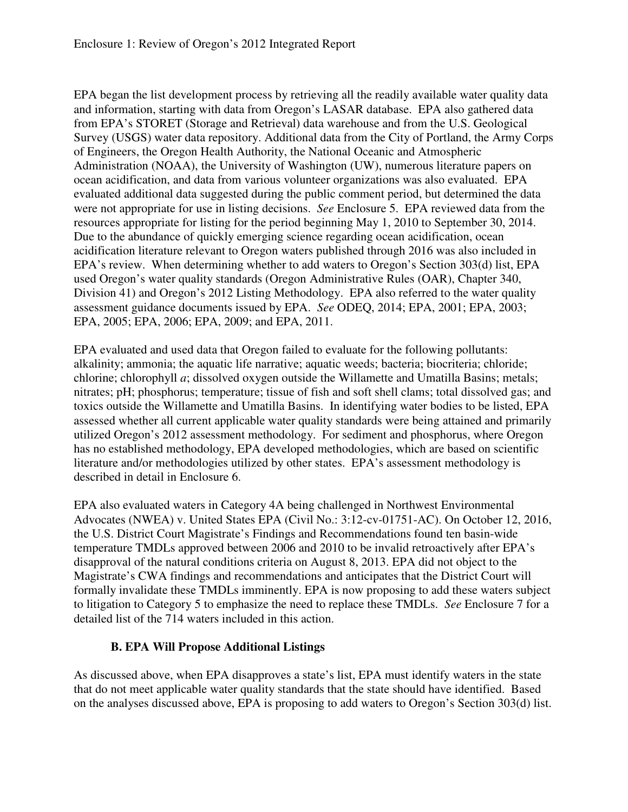EPA began the list development process by retrieving all the readily available water quality data and information, starting with data from Oregon's LASAR database. EPA also gathered data from EPA's STORET (Storage and Retrieval) data warehouse and from the U.S. Geological Survey (USGS) water data repository. Additional data from the City of Portland, the Army Corps of Engineers, the Oregon Health Authority, the National Oceanic and Atmospheric Administration (NOAA), the University of Washington (UW), numerous literature papers on ocean acidification, and data from various volunteer organizations was also evaluated. EPA evaluated additional data suggested during the public comment period, but determined the data were not appropriate for use in listing decisions. *See* Enclosure 5. EPA reviewed data from the resources appropriate for listing for the period beginning May 1, 2010 to September 30, 2014. Due to the abundance of quickly emerging science regarding ocean acidification, ocean acidification literature relevant to Oregon waters published through 2016 was also included in EPA's review. When determining whether to add waters to Oregon's Section 303(d) list, EPA used Oregon's water quality standards (Oregon Administrative Rules (OAR), Chapter 340, Division 41) and Oregon's 2012 Listing Methodology. EPA also referred to the water quality assessment guidance documents issued by EPA. *See* ODEQ, 2014; EPA, 2001; EPA, 2003; EPA, 2005; EPA, 2006; EPA, 2009; and EPA, 2011.

EPA evaluated and used data that Oregon failed to evaluate for the following pollutants: alkalinity; ammonia; the aquatic life narrative; aquatic weeds; bacteria; biocriteria; chloride; chlorine; chlorophyll *a*; dissolved oxygen outside the Willamette and Umatilla Basins; metals; nitrates; pH; phosphorus; temperature; tissue of fish and soft shell clams; total dissolved gas; and toxics outside the Willamette and Umatilla Basins. In identifying water bodies to be listed, EPA assessed whether all current applicable water quality standards were being attained and primarily utilized Oregon's 2012 assessment methodology. For sediment and phosphorus, where Oregon has no established methodology, EPA developed methodologies, which are based on scientific literature and/or methodologies utilized by other states. EPA's assessment methodology is described in detail in Enclosure 6.

EPA also evaluated waters in Category 4A being challenged in Northwest Environmental Advocates (NWEA) v. United States EPA (Civil No.: 3:12-cv-01751-AC). On October 12, 2016, the U.S. District Court Magistrate's Findings and Recommendations found ten basin-wide temperature TMDLs approved between 2006 and 2010 to be invalid retroactively after EPA's disapproval of the natural conditions criteria on August 8, 2013. EPA did not object to the Magistrate's CWA findings and recommendations and anticipates that the District Court will formally invalidate these TMDLs imminently. EPA is now proposing to add these waters subject to litigation to Category 5 to emphasize the need to replace these TMDLs. *See* Enclosure 7 for a detailed list of the 714 waters included in this action.

### **B. EPA Will Propose Additional Listings**

As discussed above, when EPA disapproves a state's list, EPA must identify waters in the state that do not meet applicable water quality standards that the state should have identified. Based on the analyses discussed above, EPA is proposing to add waters to Oregon's Section 303(d) list.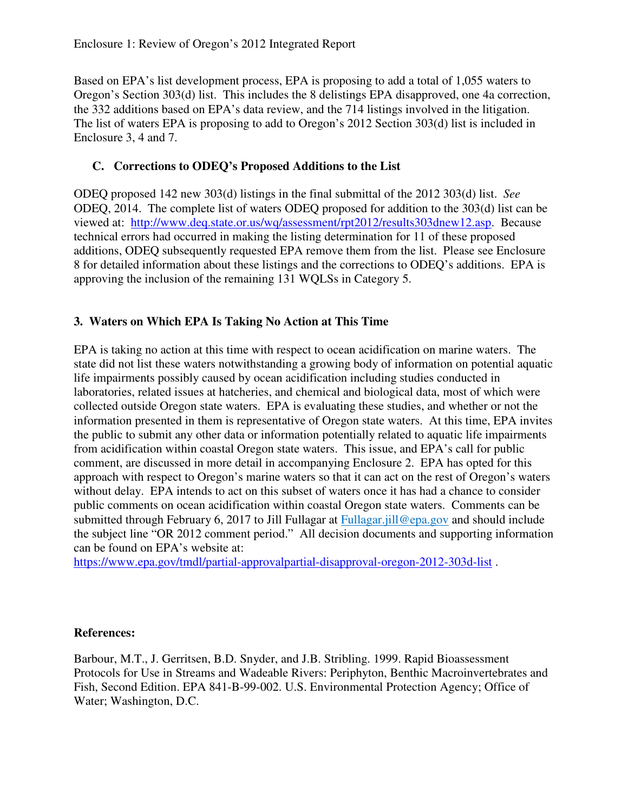Based on EPA's list development process, EPA is proposing to add a total of 1,055 waters to Oregon's Section 303(d) list. This includes the 8 delistings EPA disapproved, one 4a correction, the 332 additions based on EPA's data review, and the 714 listings involved in the litigation. The list of waters EPA is proposing to add to Oregon's 2012 Section 303(d) list is included in Enclosure 3, 4 and 7.

## **C. Corrections to ODEQ's Proposed Additions to the List**

ODEQ proposed 142 new 303(d) listings in the final submittal of the 2012 303(d) list. *See*  ODEQ, 2014. The complete list of waters ODEQ proposed for addition to the 303(d) list can be viewed at: http://www.deq.state.or.us/wq/assessment/rpt2012/results303dnew12.asp. Because technical errors had occurred in making the listing determination for 11 of these proposed additions, ODEQ subsequently requested EPA remove them from the list. Please see Enclosure 8 for detailed information about these listings and the corrections to ODEQ's additions. EPA is approving the inclusion of the remaining 131 WQLSs in Category 5.

# **3. Waters on Which EPA Is Taking No Action at This Time**

EPA is taking no action at this time with respect to ocean acidification on marine waters. The state did not list these waters notwithstanding a growing body of information on potential aquatic life impairments possibly caused by ocean acidification including studies conducted in laboratories, related issues at hatcheries, and chemical and biological data, most of which were collected outside Oregon state waters. EPA is evaluating these studies, and whether or not the information presented in them is representative of Oregon state waters. At this time, EPA invites the public to submit any other data or information potentially related to aquatic life impairments from acidification within coastal Oregon state waters. This issue, and EPA's call for public comment, are discussed in more detail in accompanying Enclosure 2. EPA has opted for this approach with respect to Oregon's marine waters so that it can act on the rest of Oregon's waters without delay. EPA intends to act on this subset of waters once it has had a chance to consider public comments on ocean acidification within coastal Oregon state waters. Comments can be submitted through February 6, 2017 to Jill Fullagar at Fullagar.jill@epa.gov and should include the subject line "OR 2012 comment period." All decision documents and supporting information can be found on EPA's website at:

https://www.epa.gov/tmdl/partial-approvalpartial-disapproval-oregon-2012-303d-list.

### **References:**

Barbour, M.T., J. Gerritsen, B.D. Snyder, and J.B. Stribling. 1999. Rapid Bioassessment Protocols for Use in Streams and Wadeable Rivers: Periphyton, Benthic Macroinvertebrates and Fish, Second Edition. EPA 841-B-99-002. U.S. Environmental Protection Agency; Office of Water; Washington, D.C.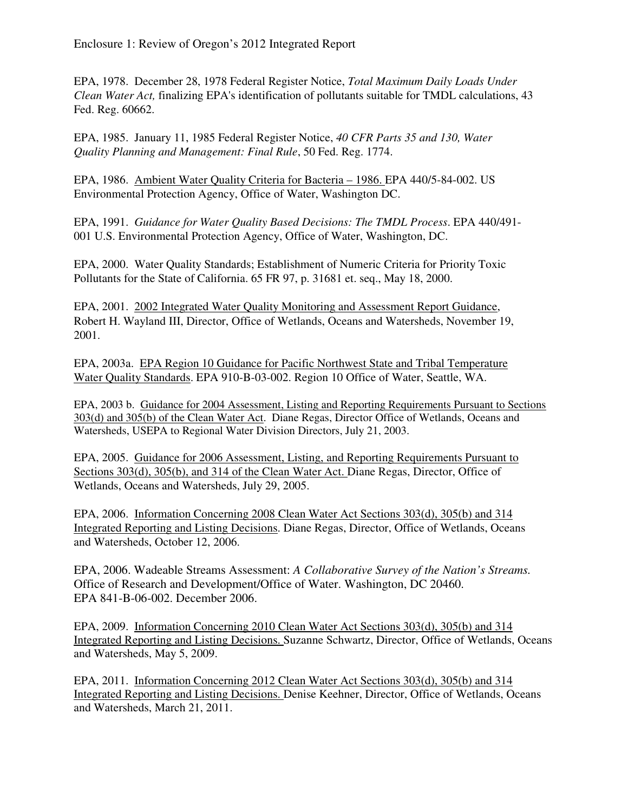EPA, 1978. December 28, 1978 Federal Register Notice, *Total Maximum Daily Loads Under Clean Water Act,* finalizing EPA's identification of pollutants suitable for TMDL calculations, 43 Fed. Reg. 60662.

EPA, 1985. January 11, 1985 Federal Register Notice, *40 CFR Parts 35 and 130, Water Quality Planning and Management: Final Rule*, 50 Fed. Reg. 1774.

EPA, 1986. Ambient Water Quality Criteria for Bacteria – 1986. EPA 440/5-84-002. US Environmental Protection Agency, Office of Water, Washington DC.

EPA, 1991. *Guidance for Water Quality Based Decisions: The TMDL Process*. EPA 440/491- 001 U.S. Environmental Protection Agency, Office of Water, Washington, DC.

EPA, 2000. Water Quality Standards; Establishment of Numeric Criteria for Priority Toxic Pollutants for the State of California. 65 FR 97, p. 31681 et. seq., May 18, 2000.

EPA, 2001. 2002 Integrated Water Quality Monitoring and Assessment Report Guidance, Robert H. Wayland III, Director, Office of Wetlands, Oceans and Watersheds, November 19, 2001.

EPA, 2003a. EPA Region 10 Guidance for Pacific Northwest State and Tribal Temperature Water Quality Standards. EPA 910-B-03-002. Region 10 Office of Water, Seattle, WA.

EPA, 2003 b. Guidance for 2004 Assessment, Listing and Reporting Requirements Pursuant to Sections 303(d) and 305(b) of the Clean Water Act. Diane Regas, Director Office of Wetlands, Oceans and Watersheds, USEPA to Regional Water Division Directors, July 21, 2003.

EPA, 2005. Guidance for 2006 Assessment, Listing, and Reporting Requirements Pursuant to Sections 303(d), 305(b), and 314 of the Clean Water Act. Diane Regas, Director, Office of Wetlands, Oceans and Watersheds, July 29, 2005.

EPA, 2006. Information Concerning 2008 Clean Water Act Sections 303(d), 305(b) and 314 Integrated Reporting and Listing Decisions. Diane Regas, Director, Office of Wetlands, Oceans and Watersheds, October 12, 2006.

EPA, 2006. Wadeable Streams Assessment: *A Collaborative Survey of the Nation's Streams.*  Office of Research and Development/Office of Water. Washington, DC 20460. EPA 841-B-06-002. December 2006.

EPA, 2009. Information Concerning 2010 Clean Water Act Sections 303(d), 305(b) and 314 Integrated Reporting and Listing Decisions. Suzanne Schwartz, Director, Office of Wetlands, Oceans and Watersheds, May 5, 2009.

EPA, 2011. Information Concerning 2012 Clean Water Act Sections 303(d), 305(b) and 314 Integrated Reporting and Listing Decisions. Denise Keehner, Director, Office of Wetlands, Oceans and Watersheds, March 21, 2011.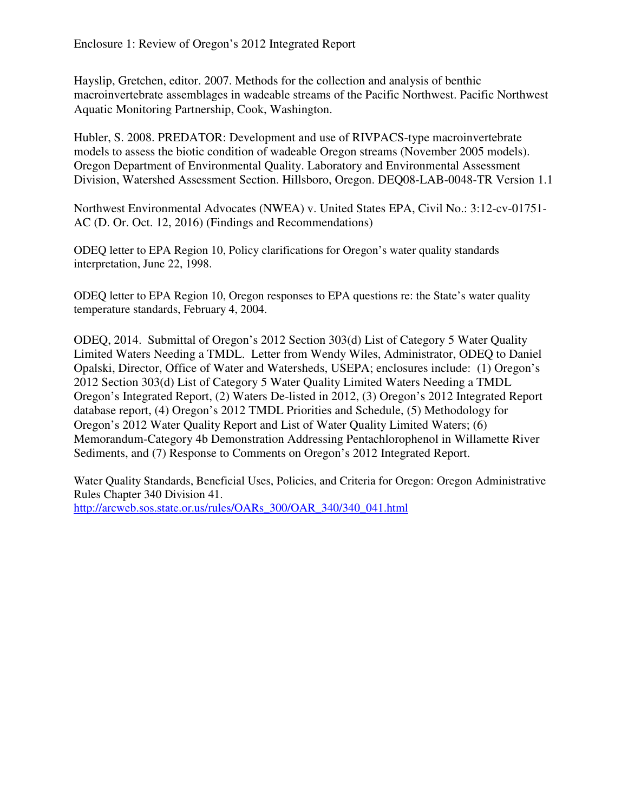Hayslip, Gretchen, editor. 2007. Methods for the collection and analysis of benthic macroinvertebrate assemblages in wadeable streams of the Pacific Northwest. Pacific Northwest Aquatic Monitoring Partnership, Cook, Washington.

Hubler, S. 2008. PREDATOR: Development and use of RIVPACS-type macroinvertebrate models to assess the biotic condition of wadeable Oregon streams (November 2005 models). Oregon Department of Environmental Quality. Laboratory and Environmental Assessment Division, Watershed Assessment Section. Hillsboro, Oregon. DEQ08-LAB-0048-TR Version 1.1

Northwest Environmental Advocates (NWEA) v. United States EPA, Civil No.: 3:12-cv-01751- AC (D. Or. Oct. 12, 2016) (Findings and Recommendations)

ODEQ letter to EPA Region 10, Policy clarifications for Oregon's water quality standards interpretation, June 22, 1998.

ODEQ letter to EPA Region 10, Oregon responses to EPA questions re: the State's water quality temperature standards, February 4, 2004.

ODEQ, 2014. Submittal of Oregon's 2012 Section 303(d) List of Category 5 Water Quality Limited Waters Needing a TMDL. Letter from Wendy Wiles, Administrator, ODEQ to Daniel Opalski, Director, Office of Water and Watersheds, USEPA; enclosures include: (1) Oregon's 2012 Section 303(d) List of Category 5 Water Quality Limited Waters Needing a TMDL Oregon's Integrated Report, (2) Waters De-listed in 2012, (3) Oregon's 2012 Integrated Report database report, (4) Oregon's 2012 TMDL Priorities and Schedule, (5) Methodology for Oregon's 2012 Water Quality Report and List of Water Quality Limited Waters; (6) Memorandum-Category 4b Demonstration Addressing Pentachlorophenol in Willamette River Sediments, and (7) Response to Comments on Oregon's 2012 Integrated Report.

Water Quality Standards, Beneficial Uses, Policies, and Criteria for Oregon: Oregon Administrative Rules Chapter 340 Division 41. http://arcweb.sos.state.or.us/rules/OARs\_300/OAR\_340/340\_041.html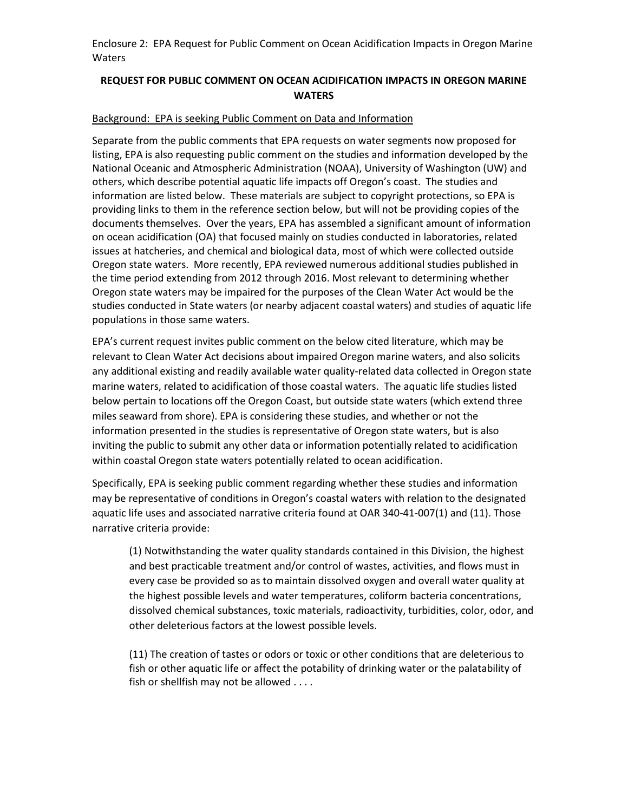#### REQUEST FOR PUBLIC COMMENT ON OCEAN ACIDIFICATION IMPACTS IN OREGON MARINE **WATERS**

#### Background: EPA is seeking Public Comment on Data and Information

Separate from the public comments that EPA requests on water segments now proposed for listing, EPA is also requesting public comment on the studies and information developed by the National Oceanic and Atmospheric Administration (NOAA), University of Washington (UW) and others, which describe potential aquatic life impacts off Oregon's coast. The studies and information are listed below. These materials are subject to copyright protections, so EPA is providing links to them in the reference section below, but will not be providing copies of the documents themselves. Over the years, EPA has assembled a significant amount of information on ocean acidification (OA) that focused mainly on studies conducted in laboratories, related issues at hatcheries, and chemical and biological data, most of which were collected outside Oregon state waters. More recently, EPA reviewed numerous additional studies published in the time period extending from 2012 through 2016. Most relevant to determining whether Oregon state waters may be impaired for the purposes of the Clean Water Act would be the studies conducted in State waters (or nearby adjacent coastal waters) and studies of aquatic life populations in those same waters.

EPA's current request invites public comment on the below cited literature, which may be relevant to Clean Water Act decisions about impaired Oregon marine waters, and also solicits any additional existing and readily available water quality-related data collected in Oregon state marine waters, related to acidification of those coastal waters. The aquatic life studies listed below pertain to locations off the Oregon Coast, but outside state waters (which extend three miles seaward from shore). EPA is considering these studies, and whether or not the information presented in the studies is representative of Oregon state waters, but is also inviting the public to submit any other data or information potentially related to acidification within coastal Oregon state waters potentially related to ocean acidification.

Specifically, EPA is seeking public comment regarding whether these studies and information may be representative of conditions in Oregon's coastal waters with relation to the designated aquatic life uses and associated narrative criteria found at OAR 340-41-007(1) and (11). Those narrative criteria provide:

(1) Notwithstanding the water quality standards contained in this Division, the highest and best practicable treatment and/or control of wastes, activities, and flows must in every case be provided so as to maintain dissolved oxygen and overall water quality at the highest possible levels and water temperatures, coliform bacteria concentrations, dissolved chemical substances, toxic materials, radioactivity, turbidities, color, odor, and other deleterious factors at the lowest possible levels.

(11) The creation of tastes or odors or toxic or other conditions that are deleterious to fish or other aquatic life or affect the potability of drinking water or the palatability of fish or shellfish may not be allowed . . . .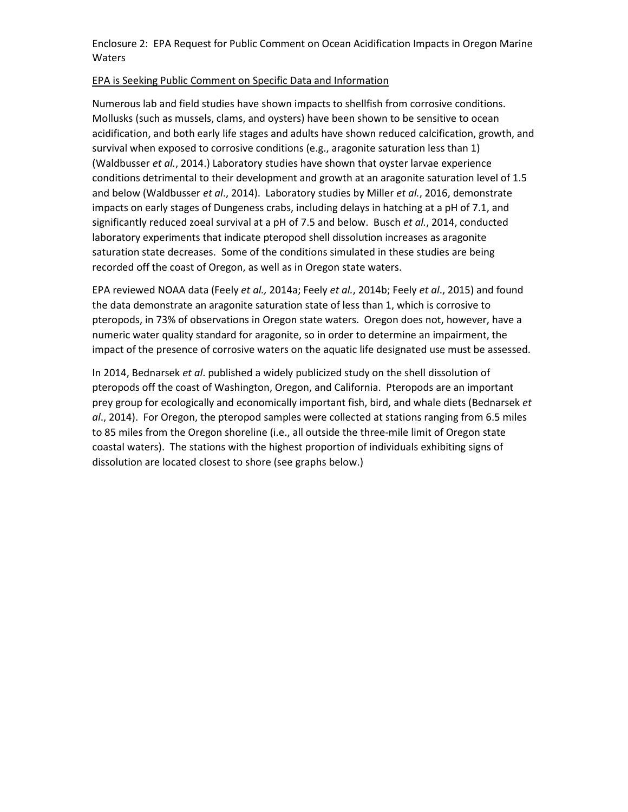#### EPA is Seeking Public Comment on Specific Data and Information

Numerous lab and field studies have shown impacts to shellfish from corrosive conditions. Mollusks (such as mussels, clams, and oysters) have been shown to be sensitive to ocean acidification, and both early life stages and adults have shown reduced calcification, growth, and survival when exposed to corrosive conditions (e.g., aragonite saturation less than 1) (Waldbusser et al., 2014.) Laboratory studies have shown that oyster larvae experience conditions detrimental to their development and growth at an aragonite saturation level of 1.5 and below (Waldbusser et al., 2014). Laboratory studies by Miller et al., 2016, demonstrate impacts on early stages of Dungeness crabs, including delays in hatching at a pH of 7.1, and significantly reduced zoeal survival at a pH of 7.5 and below. Busch et al., 2014, conducted laboratory experiments that indicate pteropod shell dissolution increases as aragonite saturation state decreases. Some of the conditions simulated in these studies are being recorded off the coast of Oregon, as well as in Oregon state waters.

EPA reviewed NOAA data (Feely et al., 2014a; Feely et al., 2014b; Feely et al., 2015) and found the data demonstrate an aragonite saturation state of less than 1, which is corrosive to pteropods, in 73% of observations in Oregon state waters. Oregon does not, however, have a numeric water quality standard for aragonite, so in order to determine an impairment, the impact of the presence of corrosive waters on the aquatic life designated use must be assessed.

In 2014, Bednarsek et al. published a widely publicized study on the shell dissolution of pteropods off the coast of Washington, Oregon, and California. Pteropods are an important prey group for ecologically and economically important fish, bird, and whale diets (Bednarsek et  $al.$ , 2014). For Oregon, the pteropod samples were collected at stations ranging from 6.5 miles to 85 miles from the Oregon shoreline (i.e., all outside the three-mile limit of Oregon state coastal waters). The stations with the highest proportion of individuals exhibiting signs of dissolution are located closest to shore (see graphs below.)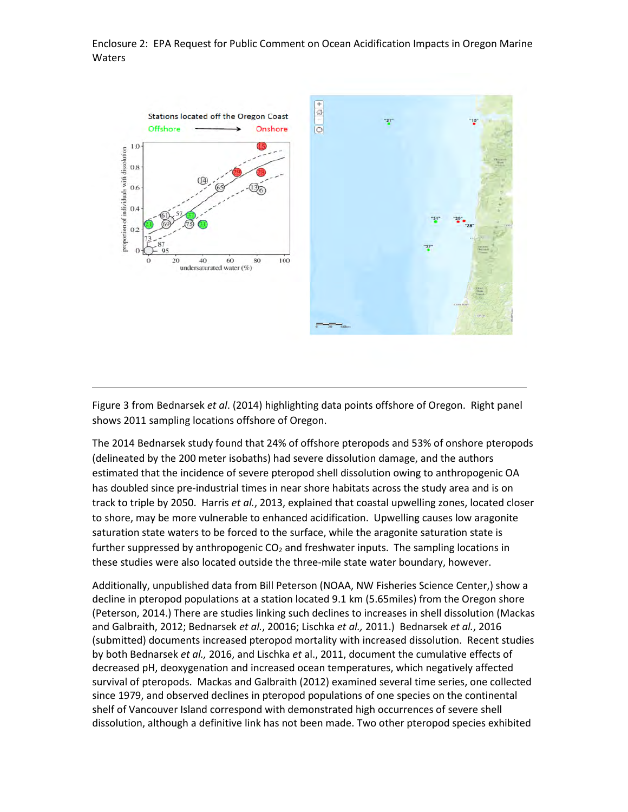

Figure 3 from Bednarsek et al. (2014) highlighting data points offshore of Oregon. Right panel shows 2011 sampling locations offshore of Oregon.

The 2014 Bednarsek study found that 24% of offshore pteropods and 53% of onshore pteropods (delineated by the 200 meter isobaths) had severe dissolution damage, and the authors estimated that the incidence of severe pteropod shell dissolution owing to anthropogenic OA has doubled since pre-industrial times in near shore habitats across the study area and is on track to triple by 2050. Harris et al., 2013, explained that coastal upwelling zones, located closer to shore, may be more vulnerable to enhanced acidification. Upwelling causes low aragonite saturation state waters to be forced to the surface, while the aragonite saturation state is further suppressed by anthropogenic  $CO<sub>2</sub>$  and freshwater inputs. The sampling locations in these studies were also located outside the three-mile state water boundary, however.

Additionally, unpublished data from Bill Peterson (NOAA, NW Fisheries Science Center,) show a decline in pteropod populations at a station located 9.1 km (5.65miles) from the Oregon shore (Peterson, 2014.) There are studies linking such declines to increases in shell dissolution (Mackas and Galbraith, 2012; Bednarsek et al., 20016; Lischka et al., 2011.) Bednarsek et al., 2016 (submitted) documents increased pteropod mortality with increased dissolution. Recent studies by both Bednarsek et al., 2016, and Lischka et al., 2011, document the cumulative effects of decreased pH, deoxygenation and increased ocean temperatures, which negatively affected survival of pteropods. Mackas and Galbraith (2012) examined several time series, one collected since 1979, and observed declines in pteropod populations of one species on the continental shelf of Vancouver Island correspond with demonstrated high occurrences of severe shell dissolution, although a definitive link has not been made. Two other pteropod species exhibited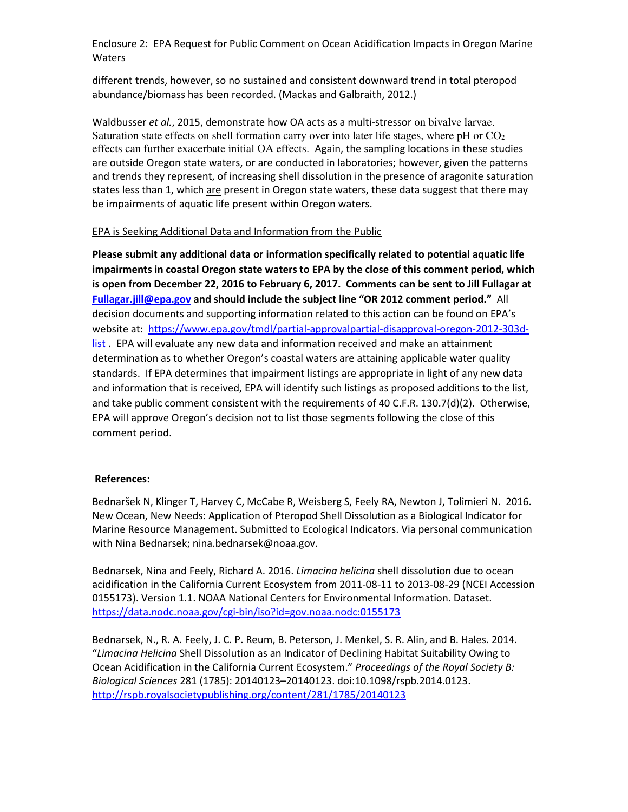different trends, however, so no sustained and consistent downward trend in total pteropod abundance/biomass has been recorded. (Mackas and Galbraith, 2012.)

Waldbusser et al., 2015, demonstrate how OA acts as a multi-stressor on bivalve larvae. Saturation state effects on shell formation carry over into later life stages, where  $pH$  or  $CO<sub>2</sub>$ effects can further exacerbate initial OA effects. Again, the sampling locations in these studies are outside Oregon state waters, or are conducted in laboratories; however, given the patterns and trends they represent, of increasing shell dissolution in the presence of aragonite saturation states less than 1, which are present in Oregon state waters, these data suggest that there may be impairments of aquatic life present within Oregon waters.

#### EPA is Seeking Additional Data and Information from the Public

Please submit any additional data or information specifically related to potential aquatic life impairments in coastal Oregon state waters to EPA by the close of this comment period, which is open from December 22, 2016 to February 6, 2017. Comments can be sent to Jill Fullagar at Fullagar.jill@epa.gov and should include the subject line "OR 2012 comment period." All decision documents and supporting information related to this action can be found on EPA's website at: https://www.epa.gov/tmdl/partial-approvalpartial-disapproval-oregon-2012-303dlist. EPA will evaluate any new data and information received and make an attainment determination as to whether Oregon's coastal waters are attaining applicable water quality standards. If EPA determines that impairment listings are appropriate in light of any new data and information that is received, EPA will identify such listings as proposed additions to the list, and take public comment consistent with the requirements of 40 C.F.R. 130.7(d)(2). Otherwise, EPA will approve Oregon's decision not to list those segments following the close of this comment period.

#### References:

Bednaršek N, Klinger T, Harvey C, McCabe R, Weisberg S, Feely RA, Newton J, Tolimieri N. 2016. New Ocean, New Needs: Application of Pteropod Shell Dissolution as a Biological Indicator for Marine Resource Management. Submitted to Ecological Indicators. Via personal communication with Nina Bednarsek; nina.bednarsek@noaa.gov.

Bednarsek, Nina and Feely, Richard A. 2016. Limacina helicina shell dissolution due to ocean acidification in the California Current Ecosystem from 2011-08-11 to 2013-08-29 (NCEI Accession 0155173). Version 1.1. NOAA National Centers for Environmental Information. Dataset. https://data.nodc.noaa.gov/cgi-bin/iso?id=gov.noaa.nodc:0155173

Bednarsek, N., R. A. Feely, J. C. P. Reum, B. Peterson, J. Menkel, S. R. Alin, and B. Hales. 2014. "Limacina Helicina Shell Dissolution as an Indicator of Declining Habitat Suitability Owing to Ocean Acidification in the California Current Ecosystem." Proceedings of the Royal Society B: Biological Sciences 281 (1785): 20140123–20140123. doi:10.1098/rspb.2014.0123. http://rspb.royalsocietypublishing.org/content/281/1785/20140123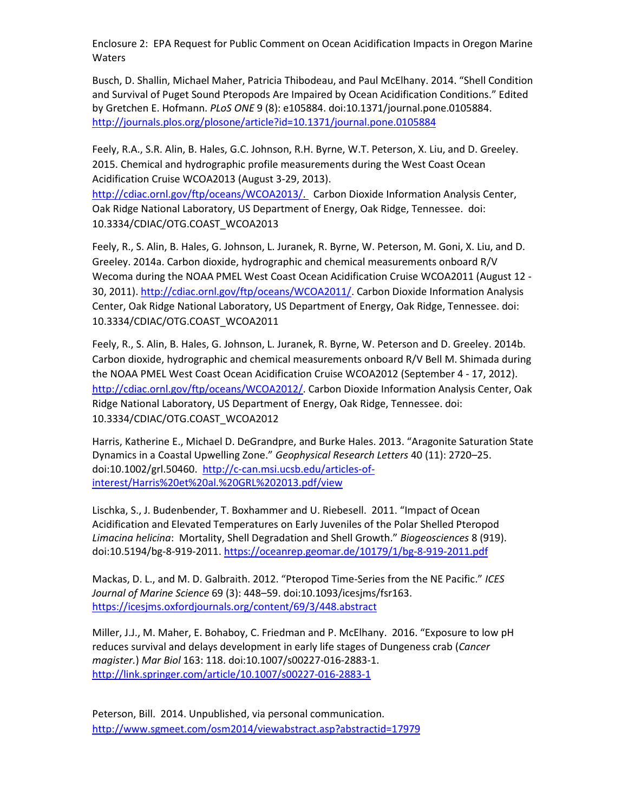Busch, D. Shallin, Michael Maher, Patricia Thibodeau, and Paul McElhany. 2014. "Shell Condition and Survival of Puget Sound Pteropods Are Impaired by Ocean Acidification Conditions." Edited by Gretchen E. Hofmann. PLoS ONE 9 (8): e105884. doi:10.1371/journal.pone.0105884. http://journals.plos.org/plosone/article?id=10.1371/journal.pone.0105884

Feely, R.A., S.R. Alin, B. Hales, G.C. Johnson, R.H. Byrne, W.T. Peterson, X. Liu, and D. Greeley. 2015. Chemical and hydrographic profile measurements during the West Coast Ocean Acidification Cruise WCOA2013 (August 3-29, 2013).

http://cdiac.ornl.gov/ftp/oceans/WCOA2013/. Carbon Dioxide Information Analysis Center, Oak Ridge National Laboratory, US Department of Energy, Oak Ridge, Tennessee. doi: 10.3334/CDIAC/OTG.COAST\_WCOA2013

Feely, R., S. Alin, B. Hales, G. Johnson, L. Juranek, R. Byrne, W. Peterson, M. Goni, X. Liu, and D. Greeley. 2014a. Carbon dioxide, hydrographic and chemical measurements onboard R/V Wecoma during the NOAA PMEL West Coast Ocean Acidification Cruise WCOA2011 (August 12 - 30, 2011). http://cdiac.ornl.gov/ftp/oceans/WCOA2011/. Carbon Dioxide Information Analysis Center, Oak Ridge National Laboratory, US Department of Energy, Oak Ridge, Tennessee. doi: 10.3334/CDIAC/OTG.COAST\_WCOA2011

Feely, R., S. Alin, B. Hales, G. Johnson, L. Juranek, R. Byrne, W. Peterson and D. Greeley. 2014b. Carbon dioxide, hydrographic and chemical measurements onboard R/V Bell M. Shimada during the NOAA PMEL West Coast Ocean Acidification Cruise WCOA2012 (September 4 - 17, 2012). http://cdiac.ornl.gov/ftp/oceans/WCOA2012/. Carbon Dioxide Information Analysis Center, Oak Ridge National Laboratory, US Department of Energy, Oak Ridge, Tennessee. doi: 10.3334/CDIAC/OTG.COAST\_WCOA2012

Harris, Katherine E., Michael D. DeGrandpre, and Burke Hales. 2013. "Aragonite Saturation State Dynamics in a Coastal Upwelling Zone." Geophysical Research Letters 40 (11): 2720–25. doi:10.1002/grl.50460. http://c-can.msi.ucsb.edu/articles-ofinterest/Harris%20et%20al.%20GRL%202013.pdf/view

Lischka, S., J. Budenbender, T. Boxhammer and U. Riebesell. 2011. "Impact of Ocean Acidification and Elevated Temperatures on Early Juveniles of the Polar Shelled Pteropod Limacina helicina: Mortality, Shell Degradation and Shell Growth." Biogeosciences 8 (919). doi:10.5194/bg-8-919-2011. https://oceanrep.geomar.de/10179/1/bg-8-919-2011.pdf

Mackas, D. L., and M. D. Galbraith. 2012. "Pteropod Time-Series from the NE Pacific." ICES Journal of Marine Science 69 (3): 448–59. doi:10.1093/icesjms/fsr163. https://icesjms.oxfordjournals.org/content/69/3/448.abstract

Miller, J.J., M. Maher, E. Bohaboy, C. Friedman and P. McElhany. 2016. "Exposure to low pH reduces survival and delays development in early life stages of Dungeness crab (Cancer magister.) Mar Biol 163: 118. doi:10.1007/s00227-016-2883-1. http://link.springer.com/article/10.1007/s00227-016-2883-1

Peterson, Bill. 2014. Unpublished, via personal communication. http://www.sgmeet.com/osm2014/viewabstract.asp?abstractid=17979